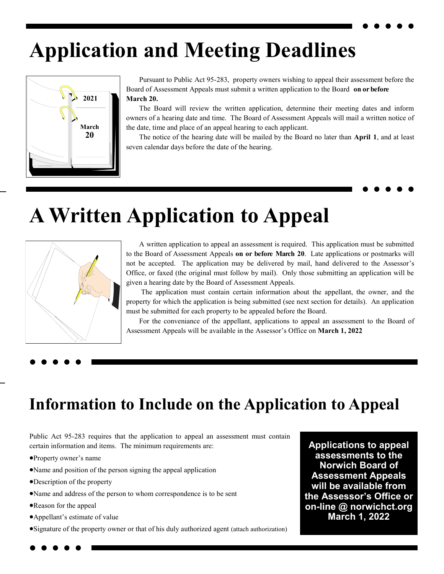# **Application and Meeting Deadlines**



Pursuant to Public Act 95-283, property owners wishing to appeal their assessment before the Board of Assessment Appeals must submit a written application to the Board **on or before March 20.**

The Board will review the written application, determine their meeting dates and inform owners of a hearing date and time. The Board of Assessment Appeals will mail a written notice of the date, time and place of an appeal hearing to each applicant.

The notice of the hearing date will be mailed by the Board no later than **April 1**, and at least seven calendar days before the date of the hearing.

# **A Written Application to Appeal**



 A written application to appeal an assessment is required. This application must be submitted to the Board of Assessment Appeals **on or before March 20**. Late applications or postmarks will not be accepted. The application may be delivered by mail, hand delivered to the Assessor's Office, or faxed (the original must follow by mail). Only those submitting an application will be given a hearing date by the Board of Assessment Appeals.

The application must contain certain information about the appellant, the owner, and the property for which the application is being submitted (see next section for details). An application must be submitted for each property to be appealed before the Board.

For the conveniance of the appellant, applications to appeal an assessment to the Board of Assessment Appeals will be available in the Assessor's Office on **March 1, 2022**

### **Information to Include on the Application to Appeal**

Public Act 95-283 requires that the application to appeal an assessment must contain certain information and items. The minimum requirements are:

- Property owner's name
- Name and position of the person signing the appeal application
- Description of the property
- Name and address of the person to whom correspondence is to be sent
- Reason for the appeal
- Appellant's estimate of value
- Signature of the property owner or that of his duly authorized agent (attach authorization)

**Applications to appeal assessments to the Norwich Board of Assessment Appeals will be available from the Assessor's Office or on-line @ norwichct.org March 1, 2022**